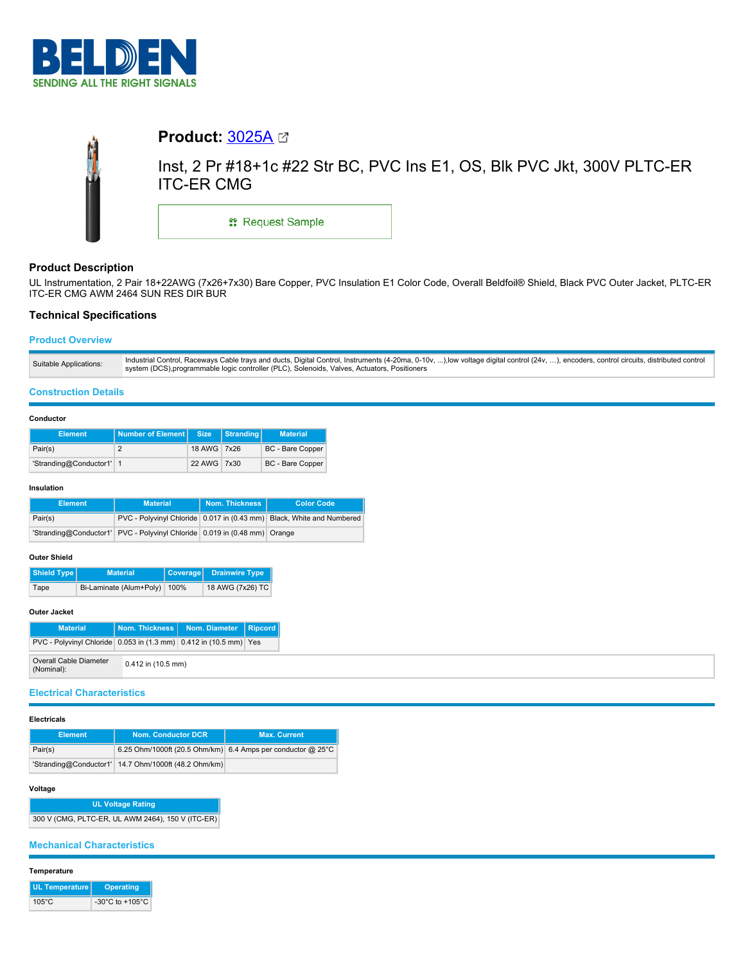



# **Product Description**

UL Instrumentation, 2 Pair 18+22AWG (7x26+7x30) Bare Copper, PVC Insulation E1 Color Code, Overall Beldfoil® Shield, Black PVC Outer Jacket, PLTC-ER ITC-ER CMG AWM 2464 SUN RES DIR BUR

# **Technical Specifications**

# **Product Overview**

### **Construction Details**

#### **Conductor**

| <b>Element</b>           | Number of Element Size | Stranding   |  | <b>Material</b>         |  |
|--------------------------|------------------------|-------------|--|-------------------------|--|
| Pair(s)                  |                        | 18 AWG 7x26 |  | <b>BC</b> - Bare Copper |  |
| 'Stranding@Conductor1' 1 |                        | 22 AWG 7x30 |  | <b>BC</b> - Bare Copper |  |

#### **Insulation**

| <b>Element</b> | <b>Material</b>                                                           | Nom. Thickness<br><b>Color Code</b> |                                                                       |  |
|----------------|---------------------------------------------------------------------------|-------------------------------------|-----------------------------------------------------------------------|--|
| Pair(s)        |                                                                           |                                     | PVC - Polyvinyl Chloride 0.017 in (0.43 mm) Black, White and Numbered |  |
|                | 'Stranding@Conductor1' PVC - Polyvinyl Chloride 0.019 in (0.48 mm) Orange |                                     |                                                                       |  |

### **Outer Shield**

| Shield Type | <b>Material</b>         |      | Coverage Drainwire Type |  |
|-------------|-------------------------|------|-------------------------|--|
| Tape        | Bi-Laminate (Alum+Poly) | 100% | 18 AWG (7x26) TC        |  |

## **Outer Jacket**

| <b>Material</b>                                                   |                      | Nom. Thickness   Nom. Diameter   Ripcord |  |
|-------------------------------------------------------------------|----------------------|------------------------------------------|--|
| PVC - Polyvinyl Chloride 0.053 in (1.3 mm) 0.412 in (10.5 mm) Yes |                      |                                          |  |
| Overall Cable Diameter<br>(Nominal):                              | $0.412$ in (10.5 mm) |                                          |  |

# **Electrical Characteristics**

#### **Electricals**

| <b>Element</b> | Nom. Conductor DCR                                   | <b>Max. Current</b>                                           |  |  |
|----------------|------------------------------------------------------|---------------------------------------------------------------|--|--|
| Pair(s)        |                                                      | 6.25 Ohm/1000ft (20.5 Ohm/km) 6.4 Amps per conductor $@$ 25°C |  |  |
|                | 'Stranding@Conductor1' 14.7 Ohm/1000ft (48.2 Ohm/km) |                                                               |  |  |

### **Voltage**

**UL Voltage Rating** 300 V (CMG, PLTC-ER, UL AWM 2464), 150 V (ITC-ER)

## **Mechanical Characteristics**

### **Temperature**

| UL Temperature  | <b>Operating</b>                      |  |  |
|-----------------|---------------------------------------|--|--|
| $105^{\circ}$ C | -30 $^{\circ}$ C to +105 $^{\circ}$ C |  |  |